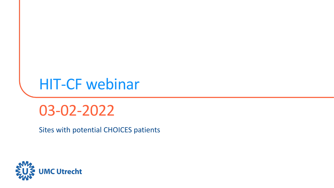# HIT-CF webinar

03-02-2022

Sites with potential CHOICES patients

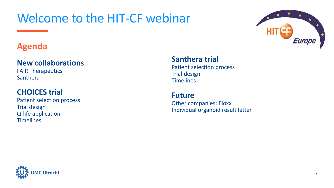## Welcome to the HIT-CF webinar

# Europe

## **Agenda**

#### **New collaborations**

FAIR Therapeutics Santhera

#### **CHOICES trial**

Patient selection process Trial design Q-life application **Timelines** 

#### **Santhera trial**

Patient selection process Trial design **Timelines** 

#### **Future**

Other companies: Eloxx Individual organoid result letter

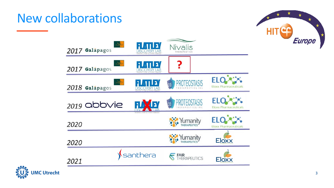## New collaborations



| 2017 Galápagos   | 'ב ו<br>SEEKING a CURE for CYSTIC FIBROSIS                   | Nivalis                 |                             |                                            |
|------------------|--------------------------------------------------------------|-------------------------|-----------------------------|--------------------------------------------|
| 2017 Galápagos   | בו                                                           |                         |                             |                                            |
| $2018$ Galápagos | $\mathbf{L}$<br>DISCOVERY<br>SEEKING a CURE for CYSTIC FIBRE | <b>PROTEOSTA</b><br>pti |                             | <b>ELC</b><br><b>Eloxx Pharmaceuticals</b> |
| 2019 abbvie      | VI<br>1 <sub>b</sub>                                         | oti<br>THERAPEUTICS.    |                             | <b>ELO</b><br><b>Eloxx Pharmaceuticals</b> |
| 2020             | SEEKING a CURE for CYSTIC FIBROSI                            | <b>Yumanity</b>         |                             | ELC<br><b>Eloxx Pharmaceuticals</b>        |
| 2020             |                                                              | Yumanity                |                             | <b>Eloxx</b>                               |
| 2021             | santhera                                                     |                         | <b>FAIR</b><br>THERAPEUTICS | <b>Eloxx</b>                               |

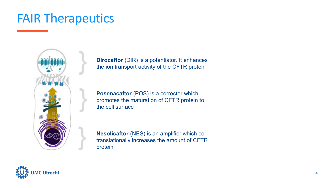## FAIR Therapeutics



**Dirocaftor** (DIR) is a potentiator. It enhances the ion transport activity of the CFTR protein

**Posenacaftor** (POS) is a corrector which promotes the maturation of CFTR protein to the cell surface

**Nesolicaftor** (NES) is an amplifier which cotranslationally increases the amount of CFTR protein

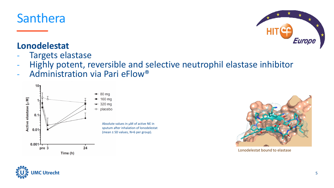

## **Lonodelestat**

- Targets elastase
- Highly potent, reversible and selective neutrophil elastase inhibitor
- Administration via Pari eFlow®





Lonodelestat bound to elastase



Europe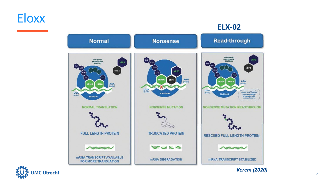## **Eloxx**

#### **ELX-02**





*Kerem (2020)* <sup>6</sup>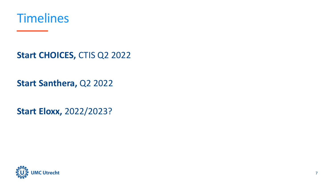

**Start CHOICES,** CTIS Q2 2022

**Start Santhera,** Q2 2022

**Start Eloxx,** 2022/2023?

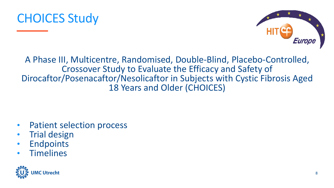

A Phase III, Multicentre, Randomised, Double-Blind, Placebo-Controlled, Crossover Study to Evaluate the Efficacy and Safety of Dirocaftor/Posenacaftor/Nesolicaftor in Subjects with Cystic Fibrosis Aged 18 Years and Older (CHOICES)

- Patient selection process
- **Trial design**
- **Endpoints**
- **Timelines**

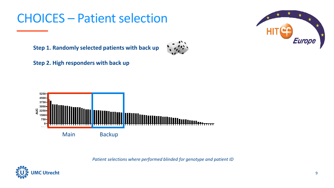## **CHOICES – Patient selection**

Europe

**Step 1. Randomly selected patients with back up**



**Step 2. High responders with back up**



*Patient selections where performed blinded for genotype and patient ID*

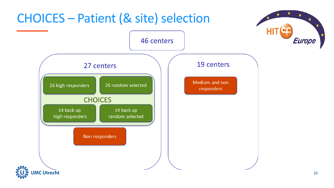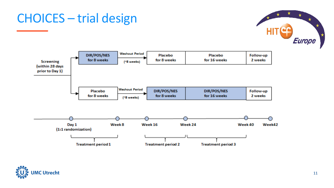

## CHOICES – trial design



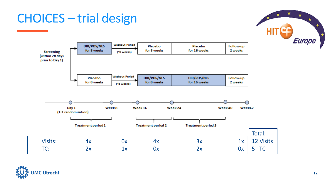## CHOICES – trial design





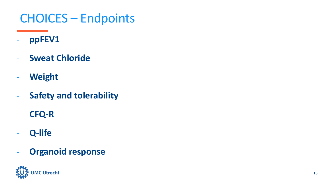## CHOICES – Endpoints

- **ppFEV1**
- **Sweat Chloride**
- **Weight**
- **Safety and tolerability**
- **CFQ-R**
- **Q-life**
- **Organoid response**

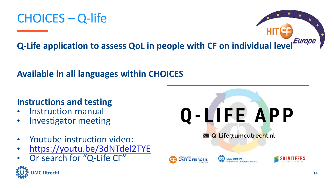



**Q-Life application to assess QoL in people with CF on individual level**

## **Available in all languages within CHOICES**

#### **Instructions and testing**

- Instruction manual
- Investigator meeting
- Youtube instruction video:
- <https://youtu.be/3dNTdel2TYE>
- Or search for "Q-Life CF"



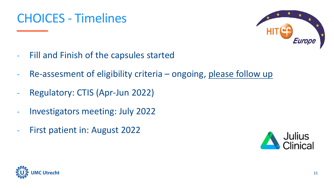## CHOICES - Timelines



- Fill and Finish of the capsules started
- Re-assesment of eligibility criteria ongoing, please follow up
- Regulatory: CTIS (Apr-Jun 2022)
- Investigators meeting: July 2022
- First patient in: August 2022



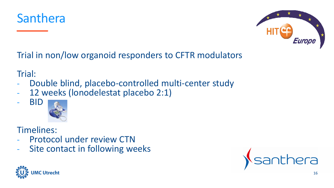



Trial in non/low organoid responders to CFTR modulators

Trial:

- Double blind, placebo-controlled multi-center study
- 12 weeks (lonodelestat placebo 2:1)

#### - BID



#### Timelines:

- Protocol under review CTN
- Site contact in following weeks



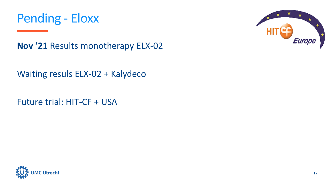



**Nov '21** Results monotherapy ELX-02

Waiting resuls ELX-02 + Kalydeco

Future trial: HIT-CF + USA

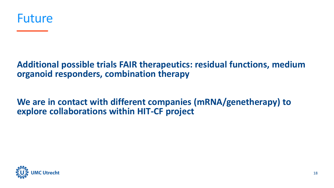

#### **Additional possible trials FAIR therapeutics: residual functions, medium organoid responders, combination therapy**

**We are in contact with different companies (mRNA/genetherapy) to explore collaborations within HIT-CF project**

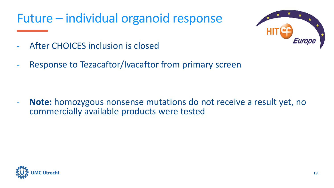## Future – individual organoid response



- After CHOICES inclusion is closed
- Response to Tezacaftor/Ivacaftor from primary screen

- **Note:** homozygous nonsense mutations do not receive a result yet, no commercially available products were tested

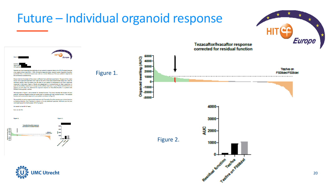